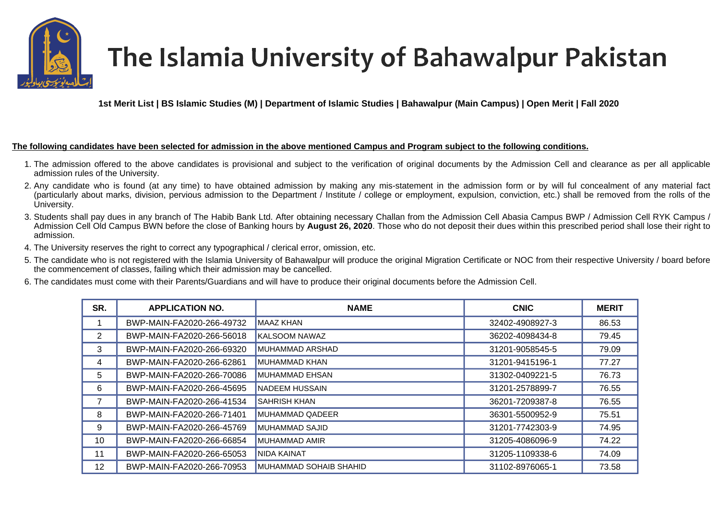

## The Islamia University of Bahawalpur Pakistan

**1st Merit List | BS Islamic Studies (M) | Department of Islamic Studies | Bahawalpur (Main Campus) | Open Merit | Fall 2020** 

## **The following candidates have been selected for admission in the above mentioned Campus and Program subject to the following conditions.**

- 1. The admission offered to the above candidates is provisional and subject to the verification of original documents by the Admission Cell and clearance as per all applicable admission rules of the University.
- 2. Any candidate who is found (at any time) to have obtained admission by making any mis-statement in the admission form or by will ful concealment of any material fact (particularly about marks, division, pervious admission to the Department / Institute / college or employment, expulsion, conviction, etc.) shall be removed from the rolls of the University.
- 3. Students shall pay dues in any branch of The Habib Bank Ltd. After obtaining necessary Challan from the Admission Cell Abasia Campus BWP / Admission Cell RYK Campus / Admission Cell Old Campus BWN before the close of Banking hours by **August 26, 2020**. Those who do not deposit their dues within this prescribed period shall lose their right to admission.
- 4. The University reserves the right to correct any typographical / clerical error, omission, etc.
- 5. The candidate who is not registered with the Islamia University of Bahawalpur will produce the original Migration Certificate or NOC from their respective University / board before the commencement of classes, failing which their admission may be cancelled.
- 6. The candidates must come with their Parents/Guardians and will have to produce their original documents before the Admission Cell.

| SR.            | <b>APPLICATION NO.</b>    | <b>NAME</b>            | <b>CNIC</b>     | <b>MERIT</b> |
|----------------|---------------------------|------------------------|-----------------|--------------|
|                | BWP-MAIN-FA2020-266-49732 | <b>MAAZ KHAN</b>       | 32402-4908927-3 | 86.53        |
| $\overline{2}$ | BWP-MAIN-FA2020-266-56018 | KALSOOM NAWAZ          | 36202-4098434-8 | 79.45        |
| 3              | BWP-MAIN-FA2020-266-69320 | MUHAMMAD ARSHAD        | 31201-9058545-5 | 79.09        |
| 4              | BWP-MAIN-FA2020-266-62861 | <b>MUHAMMAD KHAN</b>   | 31201-9415196-1 | 77.27        |
| 5              | BWP-MAIN-FA2020-266-70086 | MUHAMMAD EHSAN         | 31302-0409221-5 | 76.73        |
| 6              | BWP-MAIN-FA2020-266-45695 | <b>NADEEM HUSSAIN</b>  | 31201-2578899-7 | 76.55        |
|                | BWP-MAIN-FA2020-266-41534 | <b>SAHRISH KHAN</b>    | 36201-7209387-8 | 76.55        |
| 8              | BWP-MAIN-FA2020-266-71401 | <b>MUHAMMAD QADEER</b> | 36301-5500952-9 | 75.51        |
| 9              | BWP-MAIN-FA2020-266-45769 | MUHAMMAD SAJID         | 31201-7742303-9 | 74.95        |
| 10             | BWP-MAIN-FA2020-266-66854 | <b>MUHAMMAD AMIR</b>   | 31205-4086096-9 | 74.22        |
| 11             | BWP-MAIN-FA2020-266-65053 | <b>NIDA KAINAT</b>     | 31205-1109338-6 | 74.09        |
| 12             | BWP-MAIN-FA2020-266-70953 | MUHAMMAD SOHAIB SHAHID | 31102-8976065-1 | 73.58        |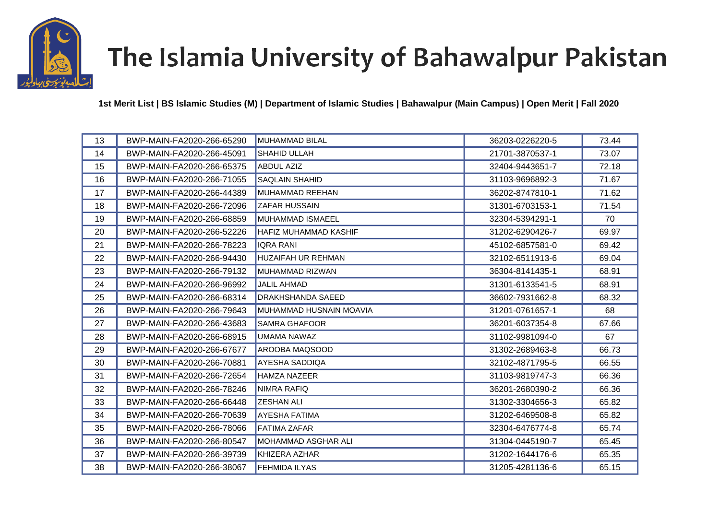

## The Islamia University of Bahawalpur Pakistan

**1st Merit List | BS Islamic Studies (M) | Department of Islamic Studies | Bahawalpur (Main Campus) | Open Merit | Fall 2020** 

| 13 | BWP-MAIN-FA2020-266-65290 | <b>MUHAMMAD BILAL</b>        | 36203-0226220-5 | 73.44 |
|----|---------------------------|------------------------------|-----------------|-------|
| 14 | BWP-MAIN-FA2020-266-45091 | SHAHID ULLAH                 | 21701-3870537-1 | 73.07 |
| 15 | BWP-MAIN-FA2020-266-65375 | <b>ABDUL AZIZ</b>            | 32404-9443651-7 | 72.18 |
| 16 | BWP-MAIN-FA2020-266-71055 | <b>SAQLAIN SHAHID</b>        | 31103-9696892-3 | 71.67 |
| 17 | BWP-MAIN-FA2020-266-44389 | MUHAMMAD REEHAN              | 36202-8747810-1 | 71.62 |
| 18 | BWP-MAIN-FA2020-266-72096 | <b>ZAFAR HUSSAIN</b>         | 31301-6703153-1 | 71.54 |
| 19 | BWP-MAIN-FA2020-266-68859 | <b>MUHAMMAD ISMAEEL</b>      | 32304-5394291-1 | 70    |
| 20 | BWP-MAIN-FA2020-266-52226 | <b>HAFIZ MUHAMMAD KASHIF</b> | 31202-6290426-7 | 69.97 |
| 21 | BWP-MAIN-FA2020-266-78223 | <b>IQRA RANI</b>             | 45102-6857581-0 | 69.42 |
| 22 | BWP-MAIN-FA2020-266-94430 | <b>HUZAIFAH UR REHMAN</b>    | 32102-6511913-6 | 69.04 |
| 23 | BWP-MAIN-FA2020-266-79132 | MUHAMMAD RIZWAN              | 36304-8141435-1 | 68.91 |
| 24 | BWP-MAIN-FA2020-266-96992 | <b>JALIL AHMAD</b>           | 31301-6133541-5 | 68.91 |
| 25 | BWP-MAIN-FA2020-266-68314 | DRAKHSHANDA SAEED            | 36602-7931662-8 | 68.32 |
| 26 | BWP-MAIN-FA2020-266-79643 | MUHAMMAD HUSNAIN MOAVIA      | 31201-0761657-1 | 68    |
| 27 | BWP-MAIN-FA2020-266-43683 | <b>SAMRA GHAFOOR</b>         | 36201-6037354-8 | 67.66 |
| 28 | BWP-MAIN-FA2020-266-68915 | UMAMA NAWAZ                  | 31102-9981094-0 | 67    |
| 29 | BWP-MAIN-FA2020-266-67677 | AROOBA MAQSOOD               | 31302-2689463-8 | 66.73 |
| 30 | BWP-MAIN-FA2020-266-70881 | <b>AYESHA SADDIQA</b>        | 32102-4871795-5 | 66.55 |
| 31 | BWP-MAIN-FA2020-266-72654 | <b>HAMZA NAZEER</b>          | 31103-9819747-3 | 66.36 |
| 32 | BWP-MAIN-FA2020-266-78246 | NIMRA RAFIQ                  | 36201-2680390-2 | 66.36 |
| 33 | BWP-MAIN-FA2020-266-66448 | <b>ZESHAN ALI</b>            | 31302-3304656-3 | 65.82 |
| 34 | BWP-MAIN-FA2020-266-70639 | <b>AYESHA FATIMA</b>         | 31202-6469508-8 | 65.82 |
| 35 | BWP-MAIN-FA2020-266-78066 | <b>FATIMA ZAFAR</b>          | 32304-6476774-8 | 65.74 |
| 36 | BWP-MAIN-FA2020-266-80547 | MOHAMMAD ASGHAR ALI          | 31304-0445190-7 | 65.45 |
| 37 | BWP-MAIN-FA2020-266-39739 | KHIZERA AZHAR                | 31202-1644176-6 | 65.35 |
| 38 | BWP-MAIN-FA2020-266-38067 | <b>FEHMIDA ILYAS</b>         | 31205-4281136-6 | 65.15 |